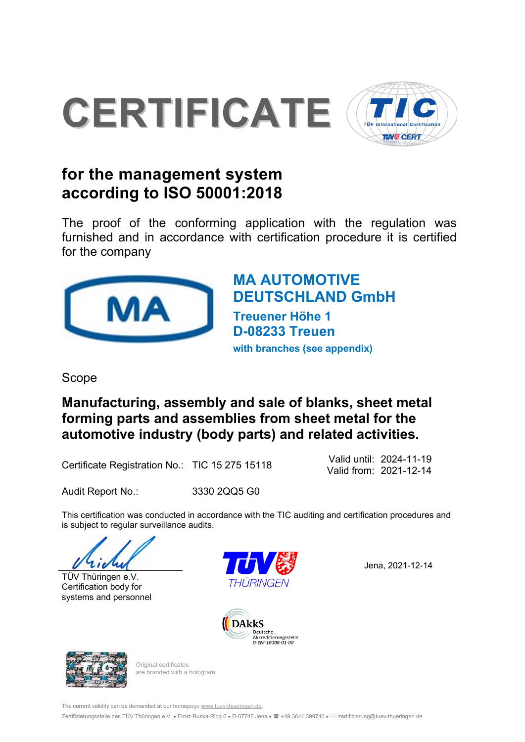

# **for the management system according to ISO 50001:2018**

The proof of the conforming application with the regulation was furnished and in accordance with certification procedure it is certified for the company



Valid from: 2021-12-14 Valid until: 2024-11-19

Audit Report No.: 3330 2QQ5 G0

# **MA AUTOMOTIVE DEUTSCHLAND GmbH**

**Treuener Höhe 1 D-08233 Treuen with branches (see appendix)**

Scope

**Manufacturing, assembly and sale of blanks, sheet metal forming parts and assemblies from sheet metal for the automotive industry (body parts) and related activities.** 

Certificate Registration No.: TIC 15 275 15118

This certification was conducted in accordance with the TIC auditing and certification procedures and is subject to regular surveillance audits.







Jena, 2021-12-14





TÜV Thüringen e.V. Certification body for systems and personnel

> Original certificates are branded with a hologram.

The current validity can be demanded at our homepage www.tuev-thueringen.de.

Zertifizierungsstelle des TÜV Thüringen e.V. • Ernst-Ruska-Ring 6 • D-07745 Jena • ■ +49 3641 399740 • ⊠ zertifizierung@tuev-thueringen.de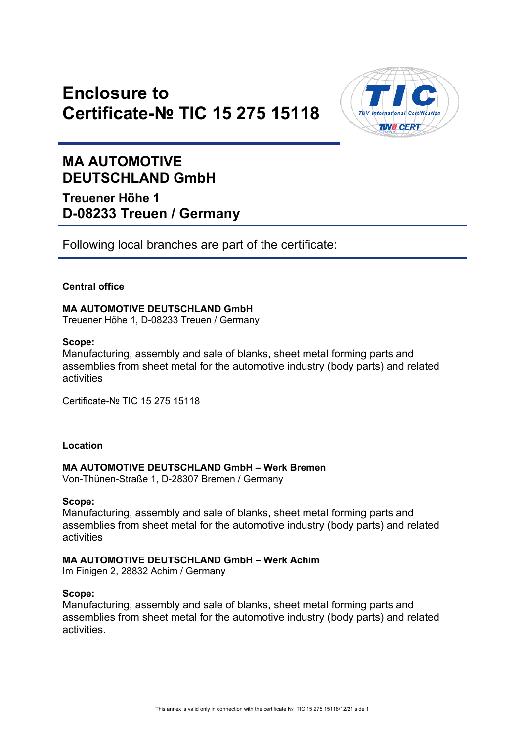### **Enclosure to Certificate-№ TIC 15 275 15118**



### **MA AUTOMOTIVE DEUTSCHLAND GmbH**

**Treuener Höhe 1 D-08233 Treuen / Germany**

Following local branches are part of the certificate:

#### **Central office**

#### **MA AUTOMOTIVE DEUTSCHLAND GmbH**  Treuener Höhe 1, D-08233 Treuen / Germany

#### **Scope:**

Manufacturing, assembly and sale of blanks, sheet metal forming parts and assemblies from sheet metal for the automotive industry (body parts) and related activities

Certificate-№ TIC 15 275 15118

#### **Location**

#### **MA AUTOMOTIVE DEUTSCHLAND GmbH – Werk Bremen**

Von-Thünen-Straße 1, D-28307 Bremen / Germany

#### **Scope:**

Manufacturing, assembly and sale of blanks, sheet metal forming parts and assemblies from sheet metal for the automotive industry (body parts) and related activities

#### **MA AUTOMOTIVE DEUTSCHLAND GmbH – Werk Achim**

Im Finigen 2, 28832 Achim / Germany

#### **Scope:**

Manufacturing, assembly and sale of blanks, sheet metal forming parts and assemblies from sheet metal for the automotive industry (body parts) and related activities.